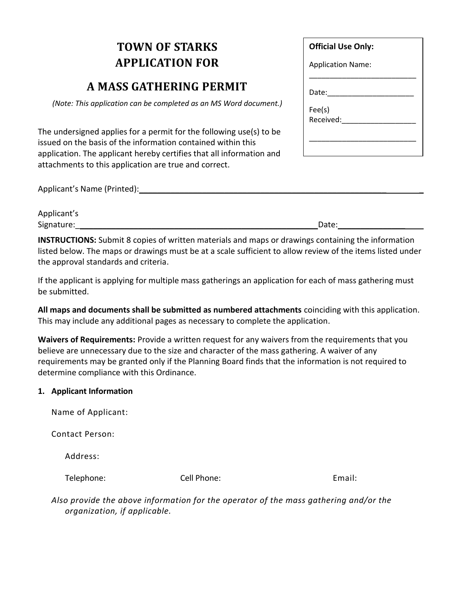## **TOWN OF STARKS APPLICATION FOR**

## **A MASS GATHERING PERMIT**

*(Note: This application can be completed as an MS Word document.)*

The undersigned applies for a permit for the following use(s) to be issued on the basis of the information contained within this application. The applicant hereby certifies that all information and attachments to this application are true and correct.

Applicant's Name (Printed): <u>contained</u>

| Applicant's |       |
|-------------|-------|
| Signature:  | Date: |

**INSTRUCTIONS:** Submit 8 copies of written materials and maps or drawings containing the information listed below. The maps or drawings must be at a scale sufficient to allow review of the items listed under the approval standards and criteria.

If the applicant is applying for multiple mass gatherings an application for each of mass gathering must be submitted.

**All maps and documents shall be submitted as numbered attachments** coinciding with this application. This may include any additional pages as necessary to complete the application.

**Waivers of Requirements:** Provide a written request for any waivers from the requirements that you believe are unnecessary due to the size and character of the mass gathering. A waiver of any requirements may be granted only if the Planning Board finds that the information is not required to determine compliance with this Ordinance.

## **1. Applicant Information**

Name of Applicant:

Contact Person:

Address:

Telephone: Cell Phone: Email: Email:

*Also provide the above information for the operator of the mass gathering and/or the organization, if applicable.*

| <b>Official Use Only:</b> |
|---------------------------|
| <b>Application Name:</b>  |
|                           |
| Date:                     |
| Fee(s)                    |
| Received:                 |
|                           |
|                           |
|                           |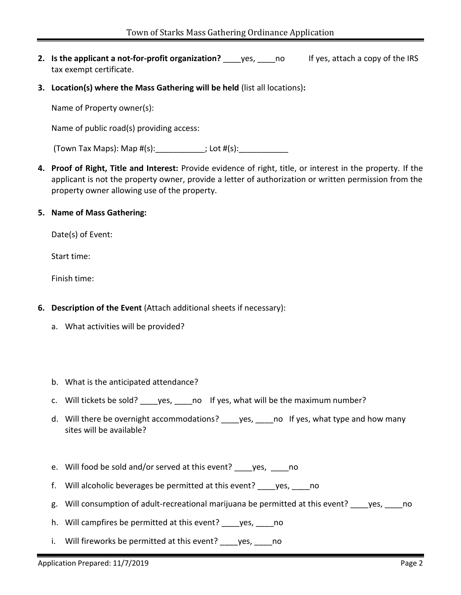- **2. Is the applicant a not-for-profit organization?** yes, no If yes, attach a copy of the IRS tax exempt certificate.
- **3. Location(s) where the Mass Gathering will be held** (list all locations)**:**

Name of Property owner(s):

Name of public road(s) providing access:

(Town Tax Maps): Map  $#(s):$  \_\_\_\_\_\_\_\_\_\_\_; Lot  $#(s):$ 

- **4. Proof of Right, Title and Interest:** Provide evidence of right, title, or interest in the property. If the applicant is not the property owner, provide a letter of authorization or written permission from the property owner allowing use of the property.
- **5. Name of Mass Gathering:**

Date(s) of Event:

Start time:

Finish time:

- **6. Description of the Event** (Attach additional sheets if necessary):
	- a. What activities will be provided?
	- b. What is the anticipated attendance?
	- c. Will tickets be sold? \_\_\_\_yes, \_\_\_\_no If yes, what will be the maximum number?
	- d. Will there be overnight accommodations? \_\_\_\_\_ yes, \_\_\_\_\_ no If yes, what type and how many sites will be available?
	- e. Will food be sold and/or served at this event? ves, when
	- f. Will alcoholic beverages be permitted at this event? \_\_\_\_yes, \_\_\_\_no
	- g. Will consumption of adult-recreational marijuana be permitted at this event? \_\_\_\_yes, \_\_\_\_no
	- h. Will campfires be permitted at this event? yes, no
	- i. Will fireworks be permitted at this event? yes, no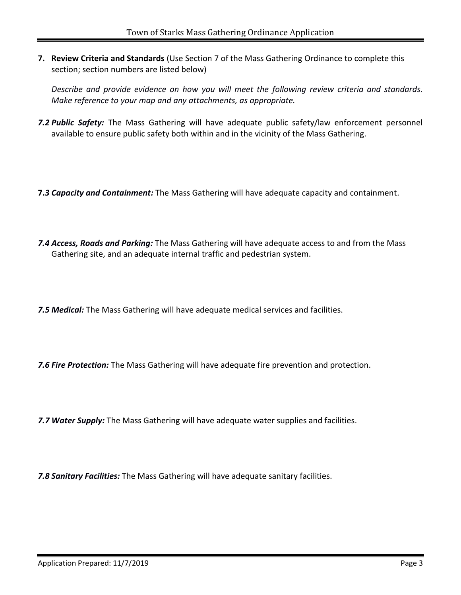**7. Review Criteria and Standards** (Use Section 7 of the Mass Gathering Ordinance to complete this section; section numbers are listed below)

*Describe and provide evidence on how you will meet the following review criteria and standards. Make reference to your map and any attachments, as appropriate.*

- *7.2 Public Safety:* The Mass Gathering will have adequate public safety/law enforcement personnel available to ensure public safety both within and in the vicinity of the Mass Gathering.
- **7.***3 Capacity and Containment:* The Mass Gathering will have adequate capacity and containment.
- *7.4 Access, Roads and Parking:* The Mass Gathering will have adequate access to and from the Mass Gathering site, and an adequate internal traffic and pedestrian system.

*7.5 Medical:* The Mass Gathering will have adequate medical services and facilities.

*7.6 Fire Protection:* The Mass Gathering will have adequate fire prevention and protection.

*7.7 Water Supply:* The Mass Gathering will have adequate water supplies and facilities.

*7.8 Sanitary Facilities:* The Mass Gathering will have adequate sanitary facilities.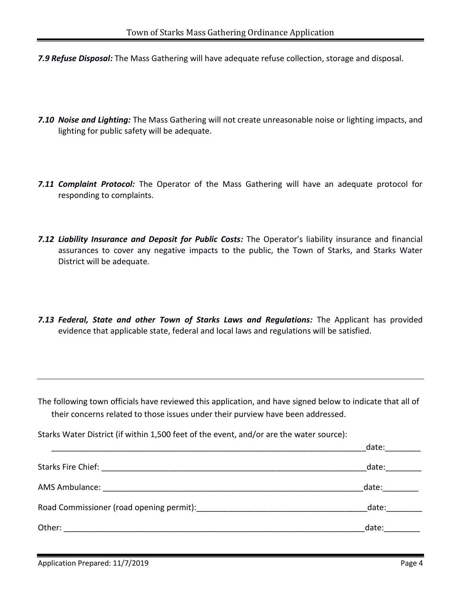- *7.9 Refuse Disposal:* The Mass Gathering will have adequate refuse collection, storage and disposal.
- *7.10 Noise and Lighting:* The Mass Gathering will not create unreasonable noise or lighting impacts, and lighting for public safety will be adequate.
- *7.11 Complaint Protocol:* The Operator of the Mass Gathering will have an adequate protocol for responding to complaints.
- *7.12 Liability Insurance and Deposit for Public Costs:* The Operator's liability insurance and financial assurances to cover any negative impacts to the public, the Town of Starks, and Starks Water District will be adequate.
- *7.13 Federal, State and other Town of Starks Laws and Regulations:* The Applicant has provided evidence that applicable state, federal and local laws and regulations will be satisfied.

The following town officials have reviewed this application, and have signed below to indicate that all of their concerns related to those issues under their purview have been addressed.

Starks Water District (if within 1,500 feet of the event, and/or are the water source):

|                                          | date: |
|------------------------------------------|-------|
|                                          | date: |
|                                          | date: |
| Road Commissioner (road opening permit): | date: |
| Other:                                   | date: |